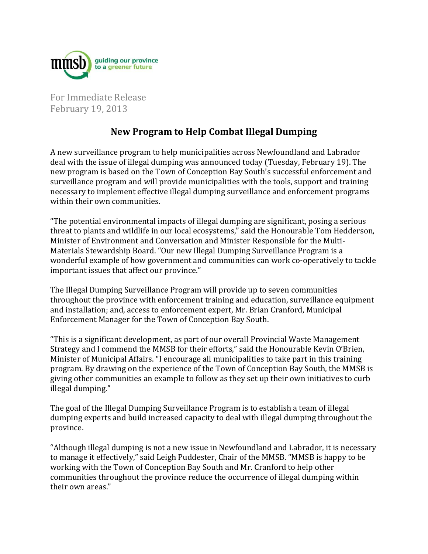

For Immediate Release February 19, 2013

## **New Program to Help Combat Illegal Dumping**

A new surveillance program to help municipalities across Newfoundland and Labrador deal with the issue of illegal dumping was announced today (Tuesday, February 19). The new program is based on the Town of Conception Bay South's successful enforcement and surveillance program and will provide municipalities with the tools, support and training necessary to implement effective illegal dumping surveillance and enforcement programs within their own communities.

"The potential environmental impacts of illegal dumping are significant, posing a serious threat to plants and wildlife in our local ecosystems," said the Honourable Tom Hedderson, Minister of Environment and Conversation and Minister Responsible for the Multi-Materials Stewardship Board. "Our new Illegal Dumping Surveillance Program is a wonderful example of how government and communities can work co-operatively to tackle important issues that affect our province."

The Illegal Dumping Surveillance Program will provide up to seven communities throughout the province with enforcement training and education, surveillance equipment and installation; and, access to enforcement expert, Mr. Brian Cranford, Municipal Enforcement Manager for the Town of Conception Bay South.

"This is a significant development, as part of our overall Provincial Waste Management Strategy and I commend the MMSB for their efforts," said the Honourable Kevin O'Brien, Minister of Municipal Affairs. "I encourage all municipalities to take part in this training program. By drawing on the experience of the Town of Conception Bay South, the MMSB is giving other communities an example to follow as they set up their own initiatives to curb illegal dumping."

The goal of the Illegal Dumping Surveillance Program is to establish a team of illegal dumping experts and build increased capacity to deal with illegal dumping throughout the province.

"Although illegal dumping is not a new issue in Newfoundland and Labrador, it is necessary to manage it effectively," said Leigh Puddester, Chair of the MMSB. "MMSB is happy to be working with the Town of Conception Bay South and Mr. Cranford to help other communities throughout the province reduce the occurrence of illegal dumping within their own areas."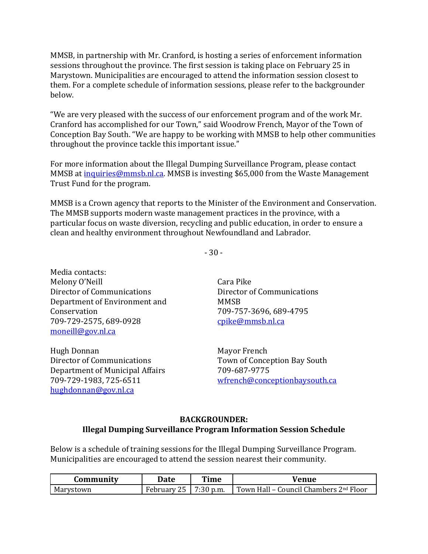MMSB, in partnership with Mr. Cranford, is hosting a series of enforcement information sessions throughout the province. The first session is taking place on February 25 in Marystown. Municipalities are encouraged to attend the information session closest to them. For a complete schedule of information sessions, please refer to the backgrounder below.

"We are very pleased with the success of our enforcement program and of the work Mr. Cranford has accomplished for our Town," said Woodrow French, Mayor of the Town of Conception Bay South. "We are happy to be working with MMSB to help other communities throughout the province tackle this important issue."

For more information about the Illegal Dumping Surveillance Program, please contact MMSB at [inquiries@mmsb.nl.ca.](mailto:inquiries@mmsb.nl.ca) MMSB is investing \$65,000 from the Waste Management Trust Fund for the program.

MMSB is a Crown agency that reports to the Minister of the Environment and Conservation. The MMSB supports modern waste management practices in the province, with a particular focus on waste diversion, recycling and public education, in order to ensure a clean and healthy environment throughout Newfoundland and Labrador.

- 30 -

Media contacts: Melony O'Neill Director of Communications Department of Environment and Conservation 709-729-2575, 689-0928 [moneill@gov.nl.ca](mailto:moneill@gov.nl.ca)

Hugh Donnan Director of Communications Department of Municipal Affairs 709-729-1983, 725-6511 [hughdonnan@gov.nl.ca](mailto:hughdonnan@gov.nl.ca)

Cara Pike Director of Communications **MMSB** 709-757-3696, 689-4795 [cpike@mmsb.nl.ca](mailto:cpike@mmsb.nl.ca)

Mayor French Town of Conception Bay South 709-687-9775 [wfrench@conceptionbaysouth.ca](mailto:wfrench@conceptionbaysouth.ca)

## **BACKGROUNDER: Illegal Dumping Surveillance Program Information Session Schedule**

Below is a schedule of training sessions for the Illegal Dumping Surveillance Program. Municipalities are encouraged to attend the session nearest their community.

| Community | Date        | Time         | Venue                                              |
|-----------|-------------|--------------|----------------------------------------------------|
| Marystown | February 25 | $17:30$ p.m. | Town Hall - Council Chambers 2 <sup>nd</sup> Floor |